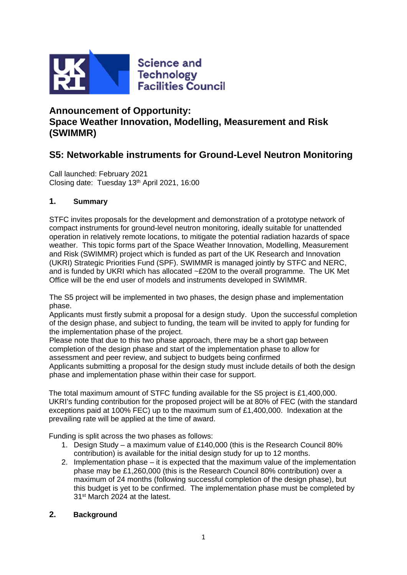

# **Announcement of Opportunity: Space Weather Innovation, Modelling, Measurement and Risk (SWIMMR)**

# **S5: Networkable instruments for Ground-Level Neutron Monitoring**

Call launched: February 2021 Closing date: Tuesday 13th April 2021, 16:00

# **1. Summary**

STFC invites proposals for the development and demonstration of a prototype network of compact instruments for ground-level neutron monitoring, ideally suitable for unattended operation in relatively remote locations, to mitigate the potential radiation hazards of space weather. This topic forms part of the Space Weather Innovation, Modelling, Measurement and Risk (SWIMMR) project which is funded as part of the UK Research and Innovation (UKRI) Strategic Priorities Fund (SPF). SWIMMR is managed jointly by STFC and NERC, and is funded by UKRI which has allocated ~£20M to the overall programme. The UK Met Office will be the end user of models and instruments developed in SWIMMR.

The S5 project will be implemented in two phases, the design phase and implementation phase.

Applicants must firstly submit a proposal for a design study. Upon the successful completion of the design phase, and subject to funding, the team will be invited to apply for funding for the implementation phase of the project.

Please note that due to this two phase approach, there may be a short gap between completion of the design phase and start of the implementation phase to allow for assessment and peer review, and subject to budgets being confirmed

Applicants submitting a proposal for the design study must include details of both the design phase and implementation phase within their case for support.

The total maximum amount of STFC funding available for the S5 project is £1,400,000. UKRI's funding contribution for the proposed project will be at 80% of FEC (with the standard exceptions paid at 100% FEC) up to the maximum sum of £1,400,000. Indexation at the prevailing rate will be applied at the time of award.

Funding is split across the two phases as follows:

- 1. Design Study a maximum value of £140,000 (this is the Research Council 80% contribution) is available for the initial design study for up to 12 months.
- 2. Implementation phase it is expected that the maximum value of the implementation phase may be £1,260,000 (this is the Research Council 80% contribution) over a maximum of 24 months (following successful completion of the design phase), but this budget is yet to be confirmed. The implementation phase must be completed by 31st March 2024 at the latest.

# **2. Background**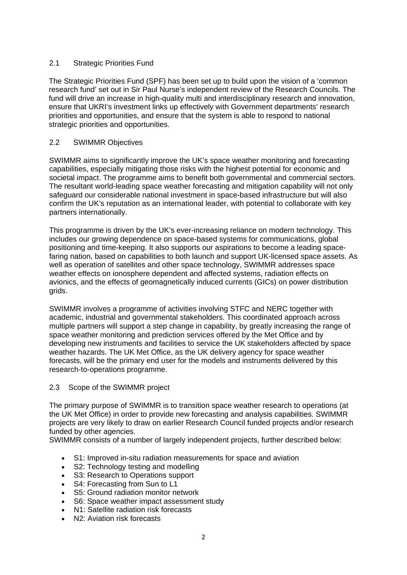### 2.1 Strategic Priorities Fund

The Strategic Priorities Fund (SPF) has been set up to build upon the vision of a 'common research fund' set out in Sir Paul Nurse's independent review of the Research Councils. The fund will drive an increase in high-quality multi and interdisciplinary research and innovation, ensure that UKRI's investment links up effectively with Government departments' research priorities and opportunities, and ensure that the system is able to respond to national strategic priorities and opportunities.

## 2.2 SWIMMR Objectives

SWIMMR aims to significantly improve the UK's space weather monitoring and forecasting capabilities, especially mitigating those risks with the highest potential for economic and societal impact. The programme aims to benefit both governmental and commercial sectors. The resultant world-leading space weather forecasting and mitigation capability will not only safeguard our considerable national investment in space-based infrastructure but will also confirm the UK's reputation as an international leader, with potential to collaborate with key partners internationally.

This programme is driven by the UK's ever-increasing reliance on modern technology. This includes our growing dependence on space-based systems for communications, global positioning and time-keeping. It also supports our aspirations to become a leading spacefaring nation, based on capabilities to both launch and support UK-licensed space assets. As well as operation of satellites and other space technology, SWIMMR addresses space weather effects on ionosphere dependent and affected systems, radiation effects on avionics, and the effects of geomagnetically induced currents (GICs) on power distribution grids.

SWIMMR involves a programme of activities involving STFC and NERC together with academic, industrial and governmental stakeholders. This coordinated approach across multiple partners will support a step change in capability, by greatly increasing the range of space weather monitoring and prediction services offered by the Met Office and by developing new instruments and facilities to service the UK stakeholders affected by space weather hazards. The UK Met Office, as the UK delivery agency for space weather forecasts, will be the primary end user for the models and instruments delivered by this research-to-operations programme.

#### 2.3 Scope of the SWIMMR project

The primary purpose of SWIMMR is to transition space weather research to operations (at the UK Met Office) in order to provide new forecasting and analysis capabilities. SWIMMR projects are very likely to draw on earlier Research Council funded projects and/or research funded by other agencies.

SWIMMR consists of a number of largely independent projects, further described below:

- S1: Improved in-situ radiation measurements for space and aviation
- S2: Technology testing and modelling
- S3: Research to Operations support
- S4: Forecasting from Sun to L1
- S5: Ground radiation monitor network
- S6: Space weather impact assessment study
- N1: Satellite radiation risk forecasts
- N2: Aviation risk forecasts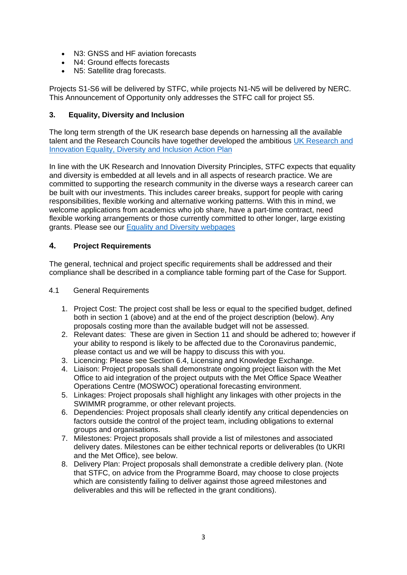- N3: GNSS and HF aviation forecasts
- N4: Ground effects forecasts
- N5: Satellite drag forecasts.

Projects S1-S6 will be delivered by STFC, while projects N1-N5 will be delivered by NERC. This Announcement of Opportunity only addresses the STFC call for project S5.

## **3. Equality, Diversity and Inclusion**

The long term strength of the UK research base depends on harnessing all the available talent and the Research Councils have together developed the ambitious UK Research and [Innovation Equality, Diversity and Inclusion Action Plan](https://www.ukri.org/files/legacy/skills/action-plan-edi-2016/) 

In line with the UK Research and Innovation Diversity Principles, STFC expects that equality and diversity is embedded at all levels and in all aspects of research practice. We are committed to supporting the research community in the diverse ways a research career can be built with our investments. This includes career breaks, support for people with caring responsibilities, flexible working and alternative working patterns. With this in mind, we welcome applications from academics who job share, have a part-time contract, need flexible working arrangements or those currently committed to other longer, large existing grants. Please see our [Equality and Diversity webpages](https://stfc.ukri.org/funding/promoting-equality-and-diversity/)

## **4. Project Requirements**

The general, technical and project specific requirements shall be addressed and their compliance shall be described in a compliance table forming part of the Case for Support.

#### 4.1 General Requirements

- 1. Project Cost: The project cost shall be less or equal to the specified budget, defined both in section 1 (above) and at the end of the project description (below). Any proposals costing more than the available budget will not be assessed.
- 2. Relevant dates: These are given in Section 11 and should be adhered to; however if your ability to respond is likely to be affected due to the Coronavirus pandemic, please contact us and we will be happy to discuss this with you.
- 3. Licencing: Please see Section 6.4, Licensing and Knowledge Exchange.
- 4. Liaison: Project proposals shall demonstrate ongoing project liaison with the Met Office to aid integration of the project outputs with the Met Office Space Weather Operations Centre (MOSWOC) operational forecasting environment.
- 5. Linkages: Project proposals shall highlight any linkages with other projects in the SWIMMR programme, or other relevant projects.
- 6. Dependencies: Project proposals shall clearly identify any critical dependencies on factors outside the control of the project team, including obligations to external groups and organisations.
- 7. Milestones: Project proposals shall provide a list of milestones and associated delivery dates. Milestones can be either technical reports or deliverables (to UKRI and the Met Office), see below.
- 8. Delivery Plan: Project proposals shall demonstrate a credible delivery plan. (Note that STFC, on advice from the Programme Board, may choose to close projects which are consistently failing to deliver against those agreed milestones and deliverables and this will be reflected in the grant conditions).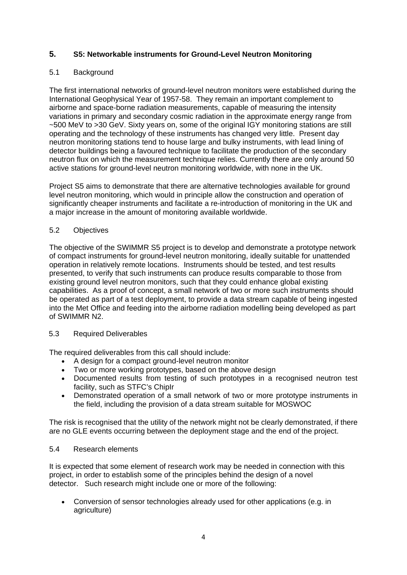# **5. S5: Networkable instruments for Ground-Level Neutron Monitoring**

### 5.1 Background

The first international networks of ground-level neutron monitors were established during the International Geophysical Year of 1957-58. They remain an important complement to airborne and space-borne radiation measurements, capable of measuring the intensity variations in primary and secondary cosmic radiation in the approximate energy range from ~500 MeV to >30 GeV. Sixty years on, some of the original IGY monitoring stations are still operating and the technology of these instruments has changed very little. Present day neutron monitoring stations tend to house large and bulky instruments, with lead lining of detector buildings being a favoured technique to facilitate the production of the secondary neutron flux on which the measurement technique relies. Currently there are only around 50 active stations for ground-level neutron monitoring worldwide, with none in the UK.

Project S5 aims to demonstrate that there are alternative technologies available for ground level neutron monitoring, which would in principle allow the construction and operation of significantly cheaper instruments and facilitate a re-introduction of monitoring in the UK and a major increase in the amount of monitoring available worldwide.

#### 5.2 Objectives

The objective of the SWIMMR S5 project is to develop and demonstrate a prototype network of compact instruments for ground-level neutron monitoring, ideally suitable for unattended operation in relatively remote locations. Instruments should be tested, and test results presented, to verify that such instruments can produce results comparable to those from existing ground level neutron monitors, such that they could enhance global existing capabilities. As a proof of concept, a small network of two or more such instruments should be operated as part of a test deployment, to provide a data stream capable of being ingested into the Met Office and feeding into the airborne radiation modelling being developed as part of SWIMMR N2.

#### 5.3 Required Deliverables

The required deliverables from this call should include:

- A design for a compact ground-level neutron monitor
- Two or more working prototypes, based on the above design
- Documented results from testing of such prototypes in a recognised neutron test facility, such as STFC's ChipIr
- Demonstrated operation of a small network of two or more prototype instruments in the field, including the provision of a data stream suitable for MOSWOC

The risk is recognised that the utility of the network might not be clearly demonstrated, if there are no GLE events occurring between the deployment stage and the end of the project.

#### 5.4 Research elements

It is expected that some element of research work may be needed in connection with this project, in order to establish some of the principles behind the design of a novel detector. Such research might include one or more of the following:

• Conversion of sensor technologies already used for other applications (e.g. in agriculture)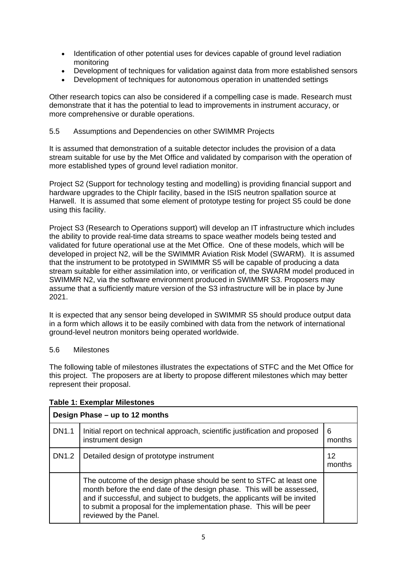- Identification of other potential uses for devices capable of ground level radiation monitoring
- Development of techniques for validation against data from more established sensors
- Development of techniques for autonomous operation in unattended settings

Other research topics can also be considered if a compelling case is made. Research must demonstrate that it has the potential to lead to improvements in instrument accuracy, or more comprehensive or durable operations.

#### 5.5 Assumptions and Dependencies on other SWIMMR Projects

It is assumed that demonstration of a suitable detector includes the provision of a data stream suitable for use by the Met Office and validated by comparison with the operation of more established types of ground level radiation monitor.

Project S2 (Support for technology testing and modelling) is providing financial support and hardware upgrades to the ChipIr facility, based in the ISIS neutron spallation source at Harwell. It is assumed that some element of prototype testing for project S5 could be done using this facility.

Project S3 (Research to Operations support) will develop an IT infrastructure which includes the ability to provide real-time data streams to space weather models being tested and validated for future operational use at the Met Office. One of these models, which will be developed in project N2, will be the SWIMMR Aviation Risk Model (SWARM). It is assumed that the instrument to be prototyped in SWIMMR S5 will be capable of producing a data stream suitable for either assimilation into, or verification of, the SWARM model produced in SWIMMR N2, via the software environment produced in SWIMMR S3. Proposers may assume that a sufficiently mature version of the S3 infrastructure will be in place by June 2021.

It is expected that any sensor being developed in SWIMMR S5 should produce output data in a form which allows it to be easily combined with data from the network of international ground-level neutron monitors being operated worldwide.

#### 5.6 Milestones

The following table of milestones illustrates the expectations of STFC and the Met Office for this project. The proposers are at liberty to propose different milestones which may better represent their proposal.

| Design Phase – up to 12 months |                                                                                                                                                                                                                                                                                                                             |             |
|--------------------------------|-----------------------------------------------------------------------------------------------------------------------------------------------------------------------------------------------------------------------------------------------------------------------------------------------------------------------------|-------------|
| <b>DN1.1</b>                   | Initial report on technical approach, scientific justification and proposed<br>instrument design                                                                                                                                                                                                                            | 6<br>months |
| <b>DN1.2</b>                   | Detailed design of prototype instrument                                                                                                                                                                                                                                                                                     | 12          |
|                                | The outcome of the design phase should be sent to STFC at least one<br>month before the end date of the design phase. This will be assessed,<br>and if successful, and subject to budgets, the applicants will be invited<br>to submit a proposal for the implementation phase. This will be peer<br>reviewed by the Panel. |             |

#### **Table 1: Exemplar Milestones**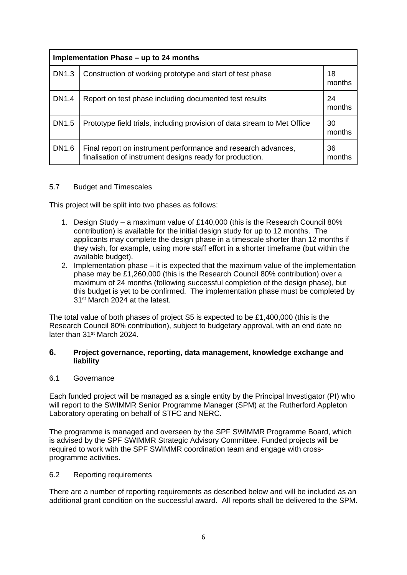| Implementation Phase - up to 24 months |                                                                                                                           |              |
|----------------------------------------|---------------------------------------------------------------------------------------------------------------------------|--------------|
| DN1.3                                  | Construction of working prototype and start of test phase                                                                 | 18<br>months |
| <b>DN1.4</b>                           | Report on test phase including documented test results                                                                    | 24<br>months |
| DN1.5                                  | Prototype field trials, including provision of data stream to Met Office                                                  | 30<br>months |
| DN1.6                                  | Final report on instrument performance and research advances,<br>finalisation of instrument designs ready for production. | 36<br>months |

#### 5.7 Budget and Timescales

This project will be split into two phases as follows:

- 1. Design Study a maximum value of £140,000 (this is the Research Council 80% contribution) is available for the initial design study for up to 12 months. The applicants may complete the design phase in a timescale shorter than 12 months if they wish, for example, using more staff effort in a shorter timeframe (but within the available budget).
- 2. Implementation phase it is expected that the maximum value of the implementation phase may be £1,260,000 (this is the Research Council 80% contribution) over a maximum of 24 months (following successful completion of the design phase), but this budget is yet to be confirmed. The implementation phase must be completed by 31st March 2024 at the latest.

The total value of both phases of project S5 is expected to be £1,400,000 (this is the Research Council 80% contribution), subject to budgetary approval, with an end date no later than 31st March 2024.

#### **6. Project governance, reporting, data management, knowledge exchange and liability**

#### 6.1 Governance

Each funded project will be managed as a single entity by the Principal Investigator (PI) who will report to the SWIMMR Senior Programme Manager (SPM) at the Rutherford Appleton Laboratory operating on behalf of STFC and NERC.

The programme is managed and overseen by the SPF SWIMMR Programme Board, which is advised by the SPF SWIMMR Strategic Advisory Committee. Funded projects will be required to work with the SPF SWIMMR coordination team and engage with crossprogramme activities.

#### 6.2 Reporting requirements

There are a number of reporting requirements as described below and will be included as an additional grant condition on the successful award. All reports shall be delivered to the SPM.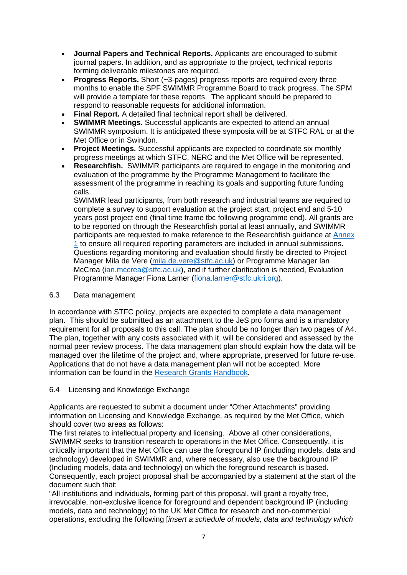- **Journal Papers and Technical Reports.** Applicants are encouraged to submit journal papers. In addition, and as appropriate to the project, technical reports forming deliverable milestones are required.
- **Progress Reports.** Short (~3-pages) progress reports are required every three months to enable the SPF SWIMMR Programme Board to track progress. The SPM will provide a template for these reports. The applicant should be prepared to respond to reasonable requests for additional information.
- **Final Report.** A detailed final technical report shall be delivered.
- **SWIMMR Meetings**. Successful applicants are expected to attend an annual SWIMMR symposium. It is anticipated these symposia will be at STFC RAL or at the Met Office or in Swindon.
- **Project Meetings.** Successful applicants are expected to coordinate six monthly progress meetings at which STFC, NERC and the Met Office will be represented.
- **Researchfish.** SWIMMR participants are required to engage in the monitoring and evaluation of the programme by the Programme Management to facilitate the assessment of the programme in reaching its goals and supporting future funding calls.

SWIMMR lead participants, from both research and industrial teams are required to complete a survey to support evaluation at the project start, project end and 5-10 years post project end (final time frame tbc following programme end). All grants are to be reported on through the Researchfish portal at least annually, and SWIMMR participants are requested to make reference to the Researchfish guidance at [Annex](#page-14-0)  [1](#page-14-0) to ensure all required reporting parameters are included in annual submissions. Questions regarding monitoring and evaluation should firstly be directed to Project Manager Mila de Vere [\(mila.de.vere@stfc.ac.uk\)](mailto:mila.de.vere@stfc.ac.uk) or Programme Manager Ian McCrea [\(ian.mccrea@stfc.ac.uk\)](mailto:ian.mccrea@stfc.ac.uk), and if further clarification is needed, Evaluation Programme Manager Fiona Larner [\(fiona.larner@stfc.ukri.org\)](mailto:fiona.larner@stfc.ukri.org).

#### 6.3 Data management

In accordance with STFC policy, projects are expected to complete a data management plan. This should be submitted as an attachment to the JeS pro forma and is a mandatory requirement for all proposals to this call. The plan should be no longer than two pages of A4. The plan, together with any costs associated with it, will be considered and assessed by the normal peer review process. The data management plan should explain how the data will be managed over the lifetime of the project and, where appropriate, preserved for future re‐use. Applications that do not have a data management plan will not be accepted. More information can be found in the [Research Grants Handbook.](https://stfc.ukri.org/funding/research-grants/data-management-plan/)

#### 6.4 Licensing and Knowledge Exchange

Applicants are requested to submit a document under "Other Attachments" providing information on Licensing and Knowledge Exchange, as required by the Met Office, which should cover two areas as follows:

The first relates to intellectual property and licensing. Above all other considerations, SWIMMR seeks to transition research to operations in the Met Office. Consequently, it is critically important that the Met Office can use the foreground IP (including models, data and technology) developed in SWIMMR and, where necessary, also use the background IP (Including models, data and technology) on which the foreground research is based. Consequently, each project proposal shall be accompanied by a statement at the start of the document such that:

"All institutions and individuals, forming part of this proposal, will grant a royalty free, irrevocable, non-exclusive licence for foreground and dependent background IP (including models, data and technology) to the UK Met Office for research and non-commercial operations, excluding the following [*insert a schedule of models, data and technology which*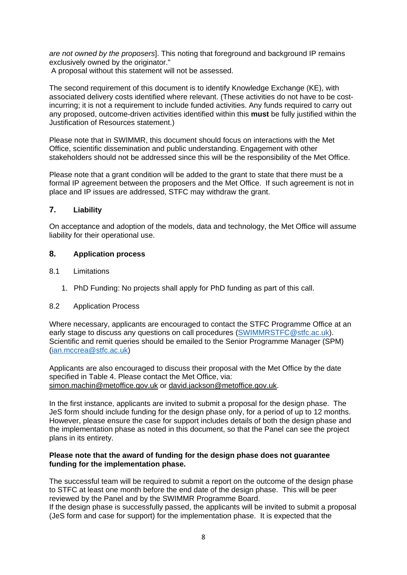*are not owned by the proposers*]. This noting that foreground and background IP remains exclusively owned by the originator."

A proposal without this statement will not be assessed.

The second requirement of this document is to identify Knowledge Exchange (KE), with associated delivery costs identified where relevant. (These activities do not have to be costincurring; it is not a requirement to include funded activities. Any funds required to carry out any proposed, outcome-driven activities identified within this **must** be fully justified within the Justification of Resources statement.)

Please note that in SWIMMR, this document should focus on interactions with the Met Office, scientific dissemination and public understanding. Engagement with other stakeholders should not be addressed since this will be the responsibility of the Met Office.

Please note that a grant condition will be added to the grant to state that there must be a formal IP agreement between the proposers and the Met Office. If such agreement is not in place and IP issues are addressed, STFC may withdraw the grant.

## **7. Liability**

On acceptance and adoption of the models, data and technology, the Met Office will assume liability for their operational use.

#### **8. Application process**

- 8.1 Limitations
	- 1. PhD Funding: No projects shall apply for PhD funding as part of this call.

#### 8.2 Application Process

Where necessary, applicants are encouraged to contact the STFC Programme Office at an early stage to discuss any questions on call procedures [\(SWIMMRSTFC@stfc.ac.uk\)](mailto:SWIMMRSTFC@stfc.ac.uk). Scientific and remit queries should be emailed to the Senior Programme Manager (SPM) [\(ian.mccrea@stfc.ac.uk\)](mailto:ian.mccrea@stfc.ac.uk)

Applicants are also encouraged to discuss their proposal with the Met Office by the date specified in Table 4. Please contact the Met Office, via: [simon.machin@metoffice.gov.uk](mailto:mark.gibbs@metoffice.gov.uk) or [david.jackson@metoffice.gov.uk.](mailto:david.jackson@metoffice.gov.uk)

In the first instance, applicants are invited to submit a proposal for the design phase. The JeS form should include funding for the design phase only, for a period of up to 12 months. However, please ensure the case for support includes details of both the design phase and the implementation phase as noted in this document, so that the Panel can see the project plans in its entirety.

#### **Please note that the award of funding for the design phase does not guarantee funding for the implementation phase.**

The successful team will be required to submit a report on the outcome of the design phase to STFC at least one month before the end date of the design phase. This will be peer reviewed by the Panel and by the SWIMMR Programme Board.

If the design phase is successfully passed, the applicants will be invited to submit a proposal (JeS form and case for support) for the implementation phase. It is expected that the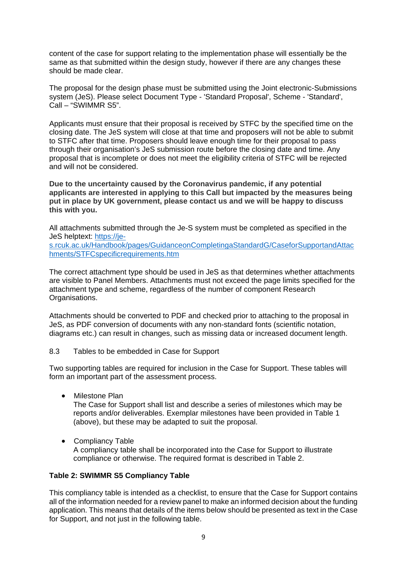content of the case for support relating to the implementation phase will essentially be the same as that submitted within the design study, however if there are any changes these should be made clear.

The proposal for the design phase must be submitted using the Joint electronic-Submissions system (JeS). Please select Document Type - 'Standard Proposal', Scheme - 'Standard', Call – "SWIMMR S5".

Applicants must ensure that their proposal is received by STFC by the specified time on the closing date. The JeS system will close at that time and proposers will not be able to submit to STFC after that time. Proposers should leave enough time for their proposal to pass through their organisation's JeS submission route before the closing date and time. Any proposal that is incomplete or does not meet the eligibility criteria of STFC will be rejected and will not be considered.

**Due to the uncertainty caused by the Coronavirus pandemic, if any potential applicants are interested in applying to this Call but impacted by the measures being put in place by UK government, please contact us and we will be happy to discuss this with you.**

All attachments submitted through the Je-S system must be completed as specified in the JeS helptext: [https://je-](https://je-s.rcuk.ac.uk/Handbook/pages/GuidanceonCompletingaStandardG/CaseforSupportandAttachments/STFCspecificrequirements.htm)

[s.rcuk.ac.uk/Handbook/pages/GuidanceonCompletingaStandardG/CaseforSupportandAttac](https://je-s.rcuk.ac.uk/Handbook/pages/GuidanceonCompletingaStandardG/CaseforSupportandAttachments/STFCspecificrequirements.htm) [hments/STFCspecificrequirements.htm](https://je-s.rcuk.ac.uk/Handbook/pages/GuidanceonCompletingaStandardG/CaseforSupportandAttachments/STFCspecificrequirements.htm)

The correct attachment type should be used in JeS as that determines whether attachments are visible to Panel Members. Attachments must not exceed the page limits specified for the attachment type and scheme, regardless of the number of component Research Organisations.

Attachments should be converted to PDF and checked prior to attaching to the proposal in JeS, as PDF conversion of documents with any non-standard fonts (scientific notation, diagrams etc.) can result in changes, such as missing data or increased document length.

8.3 Tables to be embedded in Case for Support

Two supporting tables are required for inclusion in the Case for Support. These tables will form an important part of the assessment process.

• Milestone Plan

The Case for Support shall list and describe a series of milestones which may be reports and/or deliverables. Exemplar milestones have been provided in Table 1 (above), but these may be adapted to suit the proposal.

• Compliancy Table A compliancy table shall be incorporated into the Case for Support to illustrate compliance or otherwise. The required format is described in Table 2.

#### **Table 2: SWIMMR S5 Compliancy Table**

This compliancy table is intended as a checklist, to ensure that the Case for Support contains all of the information needed for a review panel to make an informed decision about the funding application. This means that details of the items below should be presented as text in the Case for Support, and not just in the following table.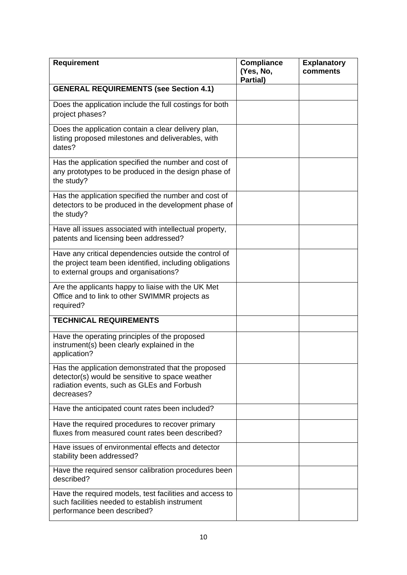| Requirement                                                                                                                                                       | <b>Compliance</b><br>(Yes, No,<br>Partial) | <b>Explanatory</b><br>comments |
|-------------------------------------------------------------------------------------------------------------------------------------------------------------------|--------------------------------------------|--------------------------------|
| <b>GENERAL REQUIREMENTS (see Section 4.1)</b>                                                                                                                     |                                            |                                |
| Does the application include the full costings for both<br>project phases?                                                                                        |                                            |                                |
| Does the application contain a clear delivery plan,<br>listing proposed milestones and deliverables, with<br>dates?                                               |                                            |                                |
| Has the application specified the number and cost of<br>any prototypes to be produced in the design phase of<br>the study?                                        |                                            |                                |
| Has the application specified the number and cost of<br>detectors to be produced in the development phase of<br>the study?                                        |                                            |                                |
| Have all issues associated with intellectual property,<br>patents and licensing been addressed?                                                                   |                                            |                                |
| Have any critical dependencies outside the control of<br>the project team been identified, including obligations<br>to external groups and organisations?         |                                            |                                |
| Are the applicants happy to liaise with the UK Met<br>Office and to link to other SWIMMR projects as<br>required?                                                 |                                            |                                |
| <b>TECHNICAL REQUIREMENTS</b>                                                                                                                                     |                                            |                                |
| Have the operating principles of the proposed<br>instrument(s) been clearly explained in the<br>application?                                                      |                                            |                                |
| Has the application demonstrated that the proposed<br>detector(s) would be sensitive to space weather<br>radiation events, such as GLEs and Forbush<br>decreases? |                                            |                                |
| Have the anticipated count rates been included?                                                                                                                   |                                            |                                |
| Have the required procedures to recover primary<br>fluxes from measured count rates been described?                                                               |                                            |                                |
| Have issues of environmental effects and detector<br>stability been addressed?                                                                                    |                                            |                                |
| Have the required sensor calibration procedures been<br>described?                                                                                                |                                            |                                |
| Have the required models, test facilities and access to<br>such facilities needed to establish instrument<br>performance been described?                          |                                            |                                |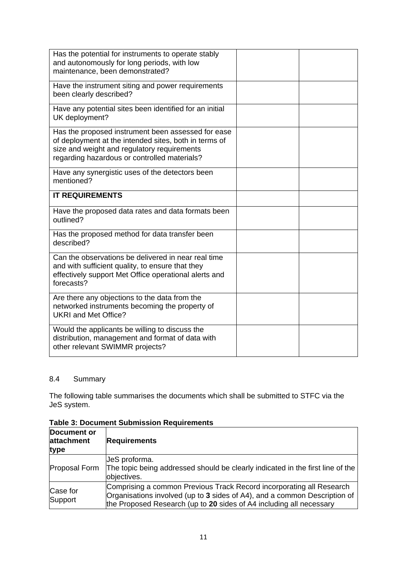| Has the potential for instruments to operate stably<br>and autonomously for long periods, with low<br>maintenance, been demonstrated?                                                                      |  |
|------------------------------------------------------------------------------------------------------------------------------------------------------------------------------------------------------------|--|
| Have the instrument siting and power requirements<br>been clearly described?                                                                                                                               |  |
| Have any potential sites been identified for an initial<br>UK deployment?                                                                                                                                  |  |
| Has the proposed instrument been assessed for ease<br>of deployment at the intended sites, both in terms of<br>size and weight and regulatory requirements<br>regarding hazardous or controlled materials? |  |
| Have any synergistic uses of the detectors been<br>mentioned?                                                                                                                                              |  |
| <b>IT REQUIREMENTS</b>                                                                                                                                                                                     |  |
| Have the proposed data rates and data formats been<br>outlined?                                                                                                                                            |  |
| Has the proposed method for data transfer been<br>described?                                                                                                                                               |  |
| Can the observations be delivered in near real time<br>and with sufficient quality, to ensure that they<br>effectively support Met Office operational alerts and<br>forecasts?                             |  |
| Are there any objections to the data from the<br>networked instruments becoming the property of<br><b>UKRI and Met Office?</b>                                                                             |  |
| Would the applicants be willing to discuss the<br>distribution, management and format of data with<br>other relevant SWIMMR projects?                                                                      |  |

# 8.4 Summary

The following table summarises the documents which shall be submitted to STFC via the JeS system.

| <b>Document or</b><br>attachment<br>type | <b>Requirements</b>                                                                                                                                                                                                      |
|------------------------------------------|--------------------------------------------------------------------------------------------------------------------------------------------------------------------------------------------------------------------------|
| Proposal Form                            | JeS proforma.<br>The topic being addressed should be clearly indicated in the first line of the<br>objectives.                                                                                                           |
| Case for<br>Support                      | Comprising a common Previous Track Record incorporating all Research<br>Organisations involved (up to 3 sides of A4), and a common Description of<br>the Proposed Research (up to 20 sides of A4 including all necessary |

**Table 3: Document Submission Requirements**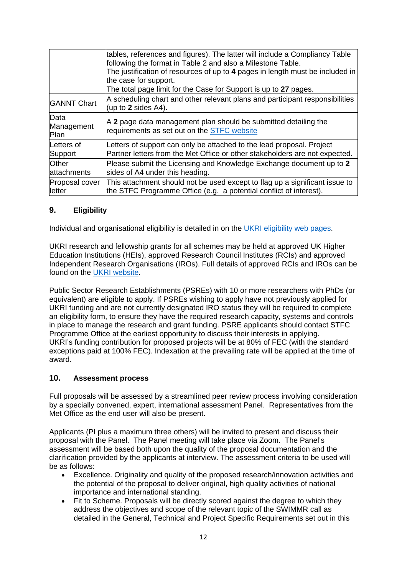|                                   | tables, references and figures). The latter will include a Compliancy Table<br>following the format in Table 2 and also a Milestone Table.<br>The justification of resources of up to 4 pages in length must be included in<br>the case for support.<br>The total page limit for the Case for Support is up to 27 pages. |
|-----------------------------------|--------------------------------------------------------------------------------------------------------------------------------------------------------------------------------------------------------------------------------------------------------------------------------------------------------------------------|
| <b>GANNT Chart</b>                | A scheduling chart and other relevant plans and participant responsibilities<br>(up to 2 sides $A4$ ).                                                                                                                                                                                                                   |
| Data<br>Management<br><b>Plan</b> | A 2 page data management plan should be submitted detailing the<br>requirements as set out on the STFC website                                                                                                                                                                                                           |
| Letters of<br>Support             | Letters of support can only be attached to the lead proposal. Project<br>Partner letters from the Met Office or other stakeholders are not expected.                                                                                                                                                                     |
| Other<br>attachments              | Please submit the Licensing and Knowledge Exchange document up to 2<br>sides of A4 under this heading.                                                                                                                                                                                                                   |
| Proposal cover<br><b>letter</b>   | This attachment should not be used except to flag up a significant issue to<br>the STFC Programme Office (e.g. a potential conflict of interest).                                                                                                                                                                        |

# **9. Eligibility**

Individual and organisational eligibility is detailed in on the [UKRI eligibility web pages.](https://www.ukri.org/funding/how-to-apply/eligibility/)

UKRI research and fellowship grants for all schemes may be held at approved UK Higher Education Institutions (HEIs), approved Research Council Institutes (RCIs) and approved Independent Research Organisations (IROs). Full details of approved RCIs and IROs can be found on the [UKRI website.](https://www.ukri.org/funding/how-to-apply/eligibility/)

Public Sector Research Establishments (PSREs) with 10 or more researchers with PhDs (or equivalent) are eligible to apply. If PSREs wishing to apply have not previously applied for UKRI funding and are not currently designated IRO status they will be required to complete an eligibility form, to ensure they have the required research capacity, systems and controls in place to manage the research and grant funding. PSRE applicants should contact STFC Programme Office at the earliest opportunity to discuss their interests in applying. UKRI's funding contribution for proposed projects will be at 80% of FEC (with the standard exceptions paid at 100% FEC). Indexation at the prevailing rate will be applied at the time of award.

#### **10. Assessment process**

Full proposals will be assessed by a streamlined peer review process involving consideration by a specially convened, expert, international assessment Panel. Representatives from the Met Office as the end user will also be present.

Applicants (PI plus a maximum three others) will be invited to present and discuss their proposal with the Panel. The Panel meeting will take place via Zoom. The Panel's assessment will be based both upon the quality of the proposal documentation and the clarification provided by the applicants at interview. The assessment criteria to be used will be as follows:

- Excellence. Originality and quality of the proposed research/innovation activities and the potential of the proposal to deliver original, high quality activities of national importance and international standing.
- Fit to Scheme. Proposals will be directly scored against the degree to which they address the objectives and scope of the relevant topic of the SWIMMR call as detailed in the General, Technical and Project Specific Requirements set out in this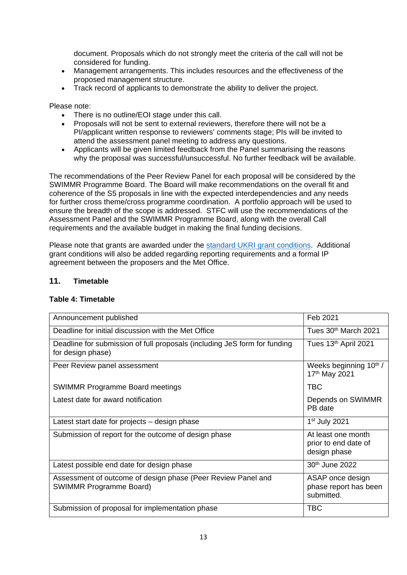document. Proposals which do not strongly meet the criteria of the call will not be considered for funding.

- Management arrangements. This includes resources and the effectiveness of the proposed management structure.
- Track record of applicants to demonstrate the ability to deliver the project.

Please note:

- There is no outline/EOI stage under this call.
- Proposals will not be sent to external reviewers, therefore there will not be a PI/applicant written response to reviewers' comments stage; PIs will be invited to attend the assessment panel meeting to address any questions.
- Applicants will be given limited feedback from the Panel summarising the reasons why the proposal was successful/unsuccessful. No further feedback will be available.

The recommendations of the Peer Review Panel for each proposal will be considered by the SWIMMR Programme Board. The Board will make recommendations on the overall fit and coherence of the S5 proposals in line with the expected interdependencies and any needs for further cross theme/cross programme coordination. A portfolio approach will be used to ensure the breadth of the scope is addressed. STFC will use the recommendations of the Assessment Panel and the SWIMMR Programme Board, along with the overall Call requirements and the available budget in making the final funding decisions.

Please note that grants are awarded under the [standard UKRI grant conditions.](https://www.ukri.org/funding/information-for-award-holders/grant-terms-and-conditions/) Additional grant conditions will also be added regarding reporting requirements and a formal IP agreement between the proposers and the Met Office.

# **11. Timetable**

#### **Table 4: Timetable**

| Announcement published                                                                         | Feb 2021                                                   |
|------------------------------------------------------------------------------------------------|------------------------------------------------------------|
| Deadline for initial discussion with the Met Office                                            | Tues 30 <sup>th</sup> March 2021                           |
| Deadline for submission of full proposals (including JeS form for funding<br>for design phase) | Tues 13th April 2021                                       |
| Peer Review panel assessment                                                                   | Weeks beginning 10 <sup>th</sup> /<br>17th May 2021        |
| <b>SWIMMR Programme Board meetings</b>                                                         | TBC                                                        |
| Latest date for award notification                                                             | Depends on SWIMMR<br>PB date                               |
| Latest start date for projects – design phase                                                  | $1st$ July 2021                                            |
| Submission of report for the outcome of design phase                                           | At least one month<br>prior to end date of<br>design phase |
| Latest possible end date for design phase                                                      | 30th June 2022                                             |
| Assessment of outcome of design phase (Peer Review Panel and<br><b>SWIMMR Programme Board)</b> | ASAP once design<br>phase report has been<br>submitted.    |
| Submission of proposal for implementation phase                                                | <b>TBC</b>                                                 |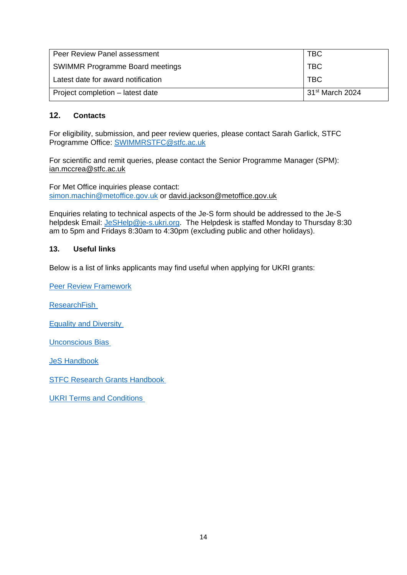| <b>TBC</b><br>Peer Review Panel assessment |                             |
|--------------------------------------------|-----------------------------|
| <b>SWIMMR Programme Board meetings</b>     | <b>TBC</b>                  |
| Latest date for award notification         | <b>TBC</b>                  |
| Project completion - latest date           | 31 <sup>st</sup> March 2024 |

### **12. Contacts**

For eligibility, submission, and peer review queries, please contact Sarah Garlick, STFC Programme Office: [SWIMMRSTFC@stfc.ac.uk](mailto:SWIMMRSTFC@stfc.ac.uk)

For scientific and remit queries, please contact the Senior Programme Manager (SPM): [ian.mccrea@stfc.ac.uk](mailto:ian.mccrea@stfc.ac.uk) 

For Met Office inquiries please contact: [simon.machin@metoffice.gov.uk](mailto:simon.machin@metoffice.gov.uk) or [david.jackson@metoffice.gov.uk](mailto:david.jackson@metoffice.gov.uk)

Enquiries relating to technical aspects of the Je-S form should be addressed to the Je-S helpdesk Email: [JeSHelp@je-s.ukri.org.](mailto:JeSHelp@je-s.ukri.org) The Helpdesk is staffed Monday to Thursday 8:30 am to 5pm and Fridays 8:30am to 4:30pm (excluding public and other holidays).

#### **13. Useful links**

Below is a list of links applicants may find useful when applying for UKRI grants:

[Peer Review Framework](https://stfc.ukri.org/files/peer-review-framework/)

**ResearchFish** 

[Equality and Diversity](https://stfc.ukri.org/funding/promoting-equality-and-diversity/) 

[Unconscious Bias](https://stfc.ukri.org/files/unconscious-bias-briefing/) 

[JeS Handbook](https://je-s.rcuk.ac.uk/handbook/index.htm)

[STFC Research Grants Handbook](https://stfc.ukri.org/research-grants-handbook/) 

**UKRI Terms and Conditions**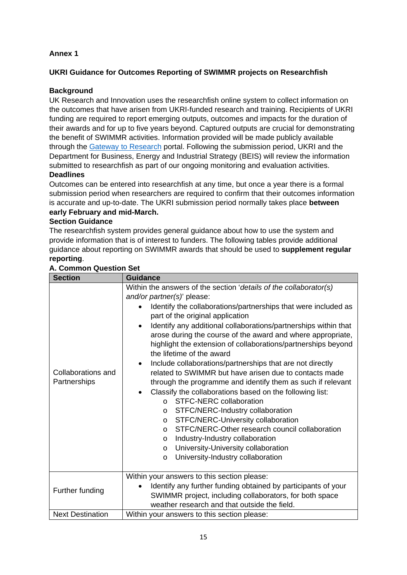# <span id="page-14-0"></span>**Annex 1**

# **UKRI Guidance for Outcomes Reporting of SWIMMR projects on Researchfish**

# **Background**

UK Research and Innovation uses the researchfish online system to collect information on the outcomes that have arisen from UKRI-funded research and training. Recipients of UKRI funding are required to report emerging outputs, outcomes and impacts for the duration of their awards and for up to five years beyond. Captured outputs are crucial for demonstrating the benefit of SWIMMR activities. Information provided will be made publicly available through the [Gateway to Research](http://gtr.rcuk.ac.uk/) portal. Following the submission period, UKRI and the Department for Business, Energy and Industrial Strategy (BEIS) will review the information submitted to researchfish as part of our ongoing monitoring and evaluation activities.

## **Deadlines**

Outcomes can be entered into researchfish at any time, but once a year there is a formal submission period when researchers are required to confirm that their outcomes information is accurate and up-to-date. The UKRI submission period normally takes place **between early February and mid-March.** 

## **Section Guidance**

The researchfish system provides general guidance about how to use the system and provide information that is of interest to funders. The following tables provide additional guidance about reporting on SWIMMR awards that should be used to **supplement regular reporting**.

| <b>Section</b>                     | <b>Guidance</b>                                                                                                                                                                                                                                                                                                                                                                                                                                                                                                                                                                                                                                                                                                                                                                                                                                                                                                                                                                                                                                                               |
|------------------------------------|-------------------------------------------------------------------------------------------------------------------------------------------------------------------------------------------------------------------------------------------------------------------------------------------------------------------------------------------------------------------------------------------------------------------------------------------------------------------------------------------------------------------------------------------------------------------------------------------------------------------------------------------------------------------------------------------------------------------------------------------------------------------------------------------------------------------------------------------------------------------------------------------------------------------------------------------------------------------------------------------------------------------------------------------------------------------------------|
| Collaborations and<br>Partnerships | Within the answers of the section 'details of the collaborator(s)<br>and/or partner(s)' please:<br>Identify the collaborations/partnerships that were included as<br>part of the original application<br>Identify any additional collaborations/partnerships within that<br>$\bullet$<br>arose during the course of the award and where appropriate,<br>highlight the extension of collaborations/partnerships beyond<br>the lifetime of the award<br>Include collaborations/partnerships that are not directly<br>$\bullet$<br>related to SWIMMR but have arisen due to contacts made<br>through the programme and identify them as such if relevant<br>Classify the collaborations based on the following list:<br><b>STFC-NERC collaboration</b><br>$\Omega$<br>STFC/NERC-Industry collaboration<br>$\circ$<br>STFC/NERC-University collaboration<br>$\circ$<br>STFC/NERC-Other research council collaboration<br>$\Omega$<br>Industry-Industry collaboration<br>$\circ$<br>University-University collaboration<br>$\circ$<br>University-Industry collaboration<br>$\circ$ |
| Further funding                    | Within your answers to this section please:<br>Identify any further funding obtained by participants of your<br>$\bullet$<br>SWIMMR project, including collaborators, for both space<br>weather research and that outside the field.                                                                                                                                                                                                                                                                                                                                                                                                                                                                                                                                                                                                                                                                                                                                                                                                                                          |
| <b>Next Destination</b>            | Within your answers to this section please:                                                                                                                                                                                                                                                                                                                                                                                                                                                                                                                                                                                                                                                                                                                                                                                                                                                                                                                                                                                                                                   |

#### **A. Common Question Set**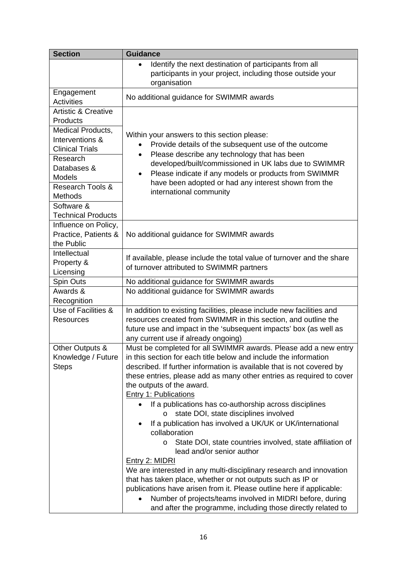| <b>Section</b>                                                                                                                                                                                   | <b>Guidance</b>                                                                                                                                                                                                                                                                                                                                                                                                                                                                                                                                                                                                                                                                                                                                                                                                                                                                                                                                                                                            |
|--------------------------------------------------------------------------------------------------------------------------------------------------------------------------------------------------|------------------------------------------------------------------------------------------------------------------------------------------------------------------------------------------------------------------------------------------------------------------------------------------------------------------------------------------------------------------------------------------------------------------------------------------------------------------------------------------------------------------------------------------------------------------------------------------------------------------------------------------------------------------------------------------------------------------------------------------------------------------------------------------------------------------------------------------------------------------------------------------------------------------------------------------------------------------------------------------------------------|
|                                                                                                                                                                                                  | Identify the next destination of participants from all<br>$\bullet$<br>participants in your project, including those outside your<br>organisation                                                                                                                                                                                                                                                                                                                                                                                                                                                                                                                                                                                                                                                                                                                                                                                                                                                          |
| Engagement<br><b>Activities</b>                                                                                                                                                                  | No additional guidance for SWIMMR awards                                                                                                                                                                                                                                                                                                                                                                                                                                                                                                                                                                                                                                                                                                                                                                                                                                                                                                                                                                   |
| <b>Artistic &amp; Creative</b>                                                                                                                                                                   |                                                                                                                                                                                                                                                                                                                                                                                                                                                                                                                                                                                                                                                                                                                                                                                                                                                                                                                                                                                                            |
| Products<br>Medical Products,<br>Interventions &<br><b>Clinical Trials</b><br>Research<br>Databases &<br><b>Models</b><br>Research Tools &<br>Methods<br>Software &<br><b>Technical Products</b> | Within your answers to this section please:<br>Provide details of the subsequent use of the outcome<br>Please describe any technology that has been<br>$\bullet$<br>developed/built/commissioned in UK labs due to SWIMMR<br>Please indicate if any models or products from SWIMMR<br>$\bullet$<br>have been adopted or had any interest shown from the<br>international community                                                                                                                                                                                                                                                                                                                                                                                                                                                                                                                                                                                                                         |
| Influence on Policy,<br>Practice, Patients &<br>the Public                                                                                                                                       | No additional guidance for SWIMMR awards                                                                                                                                                                                                                                                                                                                                                                                                                                                                                                                                                                                                                                                                                                                                                                                                                                                                                                                                                                   |
| Intellectual<br>Property &<br>Licensing                                                                                                                                                          | If available, please include the total value of turnover and the share<br>of turnover attributed to SWIMMR partners                                                                                                                                                                                                                                                                                                                                                                                                                                                                                                                                                                                                                                                                                                                                                                                                                                                                                        |
| Spin Outs                                                                                                                                                                                        | No additional guidance for SWIMMR awards                                                                                                                                                                                                                                                                                                                                                                                                                                                                                                                                                                                                                                                                                                                                                                                                                                                                                                                                                                   |
| Awards &<br>Recognition                                                                                                                                                                          | No additional guidance for SWIMMR awards                                                                                                                                                                                                                                                                                                                                                                                                                                                                                                                                                                                                                                                                                                                                                                                                                                                                                                                                                                   |
| Use of Facilities &<br><b>Resources</b>                                                                                                                                                          | In addition to existing facilities, please include new facilities and<br>resources created from SWIMMR in this section, and outline the<br>future use and impact in the 'subsequent impacts' box (as well as<br>any current use if already ongoing)                                                                                                                                                                                                                                                                                                                                                                                                                                                                                                                                                                                                                                                                                                                                                        |
| Other Outputs &<br>Knowledge / Future<br>Steps                                                                                                                                                   | Must be completed for all SWIMMR awards. Please add a new entry<br>in this section for each title below and include the information<br>described. If further information is available that is not covered by<br>these entries, please add as many other entries as required to cover<br>the outputs of the award.<br><b>Entry 1: Publications</b><br>If a publications has co-authorship across disciplines<br>state DOI, state disciplines involved<br>$\circ$<br>If a publication has involved a UK/UK or UK/international<br>collaboration<br>State DOI, state countries involved, state affiliation of<br>lead and/or senior author<br><b>Entry 2: MIDRI</b><br>We are interested in any multi-disciplinary research and innovation<br>that has taken place, whether or not outputs such as IP or<br>publications have arisen from it. Please outline here if applicable:<br>Number of projects/teams involved in MIDRI before, during<br>and after the programme, including those directly related to |